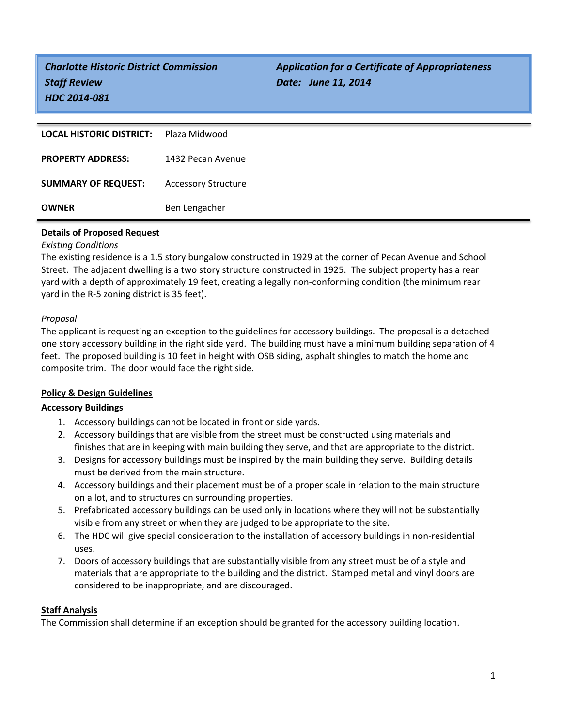*Staff Review Date: June 11, 2014 HDC 2014-081*

*Charlotte Historic District Commission Application for a Certificate of Appropriateness*

| <b>LOCAL HISTORIC DISTRICT:</b> | Plaza Midwood              |
|---------------------------------|----------------------------|
| <b>PROPERTY ADDRESS:</b>        | 1432 Pecan Avenue          |
| <b>SUMMARY OF REQUEST:</b>      | <b>Accessory Structure</b> |
| <b>OWNER</b>                    | Ben Lengacher              |

## **Details of Proposed Request**

## *Existing Conditions*

The existing residence is a 1.5 story bungalow constructed in 1929 at the corner of Pecan Avenue and School Street. The adjacent dwelling is a two story structure constructed in 1925. The subject property has a rear yard with a depth of approximately 19 feet, creating a legally non-conforming condition (the minimum rear yard in the R-5 zoning district is 35 feet).

# *Proposal*

The applicant is requesting an exception to the guidelines for accessory buildings. The proposal is a detached one story accessory building in the right side yard. The building must have a minimum building separation of 4 feet. The proposed building is 10 feet in height with OSB siding, asphalt shingles to match the home and composite trim. The door would face the right side.

# **Policy & Design Guidelines**

# **Accessory Buildings**

- 1. Accessory buildings cannot be located in front or side yards.
- 2. Accessory buildings that are visible from the street must be constructed using materials and finishes that are in keeping with main building they serve, and that are appropriate to the district.
- 3. Designs for accessory buildings must be inspired by the main building they serve. Building details must be derived from the main structure.
- 4. Accessory buildings and their placement must be of a proper scale in relation to the main structure on a lot, and to structures on surrounding properties.
- 5. Prefabricated accessory buildings can be used only in locations where they will not be substantially visible from any street or when they are judged to be appropriate to the site.
- 6. The HDC will give special consideration to the installation of accessory buildings in non-residential uses.
- 7. Doors of accessory buildings that are substantially visible from any street must be of a style and materials that are appropriate to the building and the district. Stamped metal and vinyl doors are considered to be inappropriate, and are discouraged.

## **Staff Analysis**

The Commission shall determine if an exception should be granted for the accessory building location.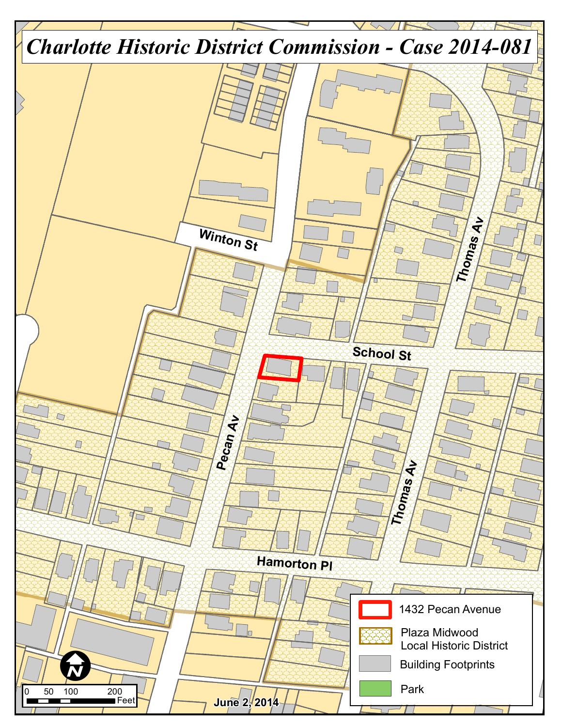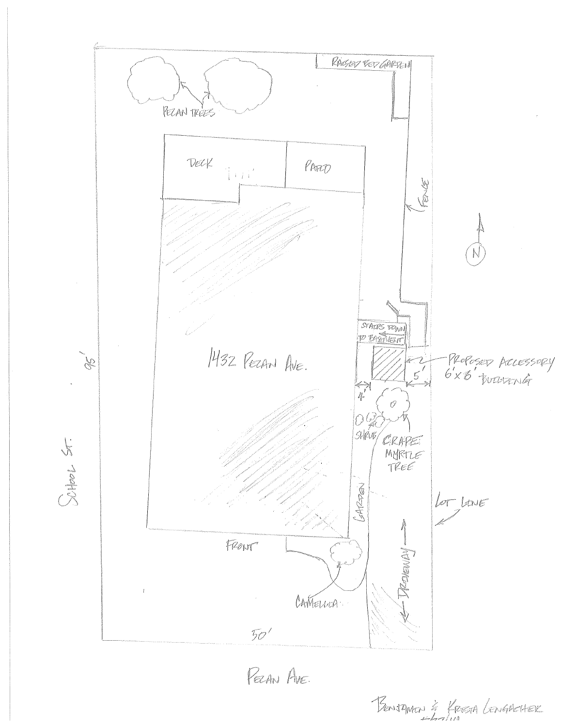

BENJAMEN & KREETA LENGARCHER